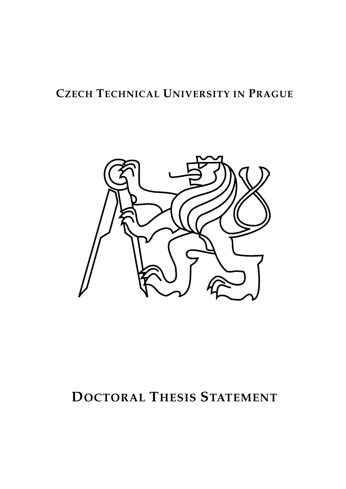# **CZECH TECHNICAL UNIVERSITY IN PRAGUE**



# **DOCTORAL THESIS STATEMENT**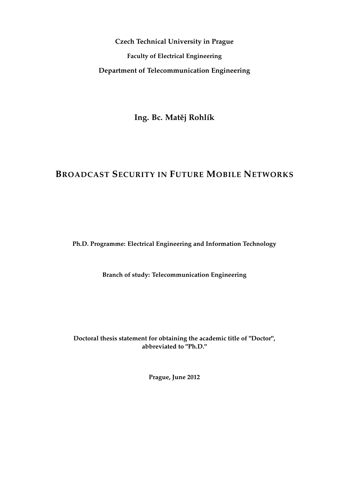**Czech Technical University in Prague Faculty of Electrical Engineering Department of Telecommunication Engineering**

Ing. Bc. Matěj Rohlík

# **BROADCAST SECURITY IN FUTURE MOBILE NETWORKS**

**Ph.D. Programme: Electrical Engineering and Information Technology**

**Branch of study: Telecommunication Engineering**

**Doctoral thesis statement for obtaining the academic title of "Doctor", abbreviated to "Ph.D."**

**Prague, June 2012**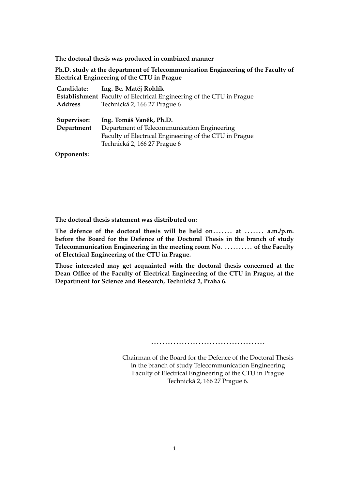**The doctoral thesis was produced in combined manner**

**Ph.D. study at the department of Telecommunication Engineering of the Faculty of Electrical Engineering of the CTU in Prague**

| Candidate:                | Ing. Bc. Matěj Rohlík                                                                                                                                            |
|---------------------------|------------------------------------------------------------------------------------------------------------------------------------------------------------------|
|                           | Establishment Faculty of Electrical Engineering of the CTU in Prague                                                                                             |
| <b>Address</b>            | Technická 2, 166 27 Prague 6                                                                                                                                     |
| Supervisor:<br>Department | Ing. Tomáš Vaněk, Ph.D.<br>Department of Telecommunication Engineering<br>Faculty of Electrical Engineering of the CTU in Prague<br>Technická 2, 166 27 Prague 6 |

**Opponents:**

**The doctoral thesis statement was distributed on:**

The defence of the doctoral thesis will be held on....... at ....... a.m./p.m. **before the Board for the Defence of the Doctoral Thesis in the branch of study Telecommunication Engineering in the meeting room No. . . . . . . . . . . of the Faculty of Electrical Engineering of the CTU in Prague.**

**Those interested may get acquainted with the doctoral thesis concerned at the Dean Office of the Faculty of Electrical Engineering of the CTU in Prague, at the Department for Science and Research, Technická 2, Praha 6.**

**. . . . . . . . . . . . . . . . . . . . . . . . . . . . . . . . . . . . . . . . .**

Chairman of the Board for the Defence of the Doctoral Thesis in the branch of study Telecommunication Engineering Faculty of Electrical Engineering of the CTU in Prague Technická 2, 166 27 Prague 6.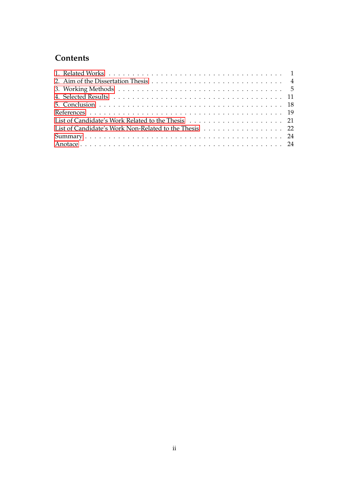# **Contents**

| List of Candidate's Work Non-Related to the Thesis 22 |
|-------------------------------------------------------|
|                                                       |
|                                                       |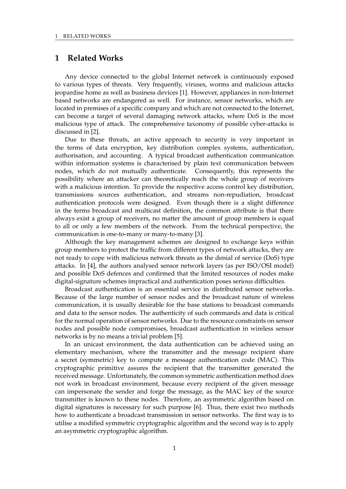## <span id="page-4-0"></span>**1 Related Works**

Any device connected to the global Internet network is continuously exposed to various types of threats. Very frequently, viruses, worms and malicious attacks jeopardise home as well as business devices [1]. However, appliances in non-Internet based networks are endangered as well. For instance, sensor networks, which are located in premises of a specific company and which are not connected to the Internet, can become a target of several damaging network attacks, where DoS is the most malicious type of attack. The comprehensive taxonomy of possible cyber-attacks is discussed in [2].

Due to these threats, an active approach to security is very important in the terms of data encryption, key distribution complex systems, authentication, authorisation, and accounting. A typical broadcast authentication communication within information systems is characterised by plain text communication between nodes, which do not mutually authenticate. Consequently, this represents the possibility where an attacker can theoretically reach the whole group of receivers with a malicious intention. To provide the respective access control key distribution, transmissions sources authentication, and streams non-repudiation, broadcast authentication protocols were designed. Even though there is a slight difference in the terms broadcast and multicast definition, the common attribute is that there always exist a group of receivers, no matter the amount of group members is equal to all or only a few members of the network. From the technical perspective, the communication is one-to-many or many-to-many [3].

Although the key management schemes are designed to exchange keys within group members to protect the traffic from different types of network attacks, they are not ready to cope with malicious network threats as the denial of service (DoS) type attacks. In [4], the authors analysed sensor network layers (as per ISO/OSI model) and possible DoS defences and confirmed that the limited resources of nodes make digital-signature schemes impractical and authentication poses serious difficulties.

Broadcast authentication is an essential service in distributed sensor networks. Because of the large number of sensor nodes and the broadcast nature of wireless communication, it is usually desirable for the base stations to broadcast commands and data to the sensor nodes. The authenticity of such commands and data is critical for the normal operation of sensor networks. Due to the resource constraints on sensor nodes and possible node compromises, broadcast authentication in wireless sensor networks is by no means a trivial problem [5].

In an unicast environment, the data authentication can be achieved using an elementary mechanism, where the transmitter and the message recipient share a secret (symmetric) key to compute a message authentication code (MAC). This cryptographic primitive assures the recipient that the transmitter generated the received message. Unfortunately, the common symmetric authentication method does not work in broadcast environment, because every recipient of the given message can impersonate the sender and forge the message, as the MAC key of the source transmitter is known to these nodes. Therefore, an asymmetric algorithm based on digital signatures is necessary for such purpose [6]. Thus, there exist two methods how to authenticate a broadcast transmission in sensor networks. The first way is to utilise a modified symmetric cryptographic algorithm and the second way is to apply an asymmetric cryptographic algorithm.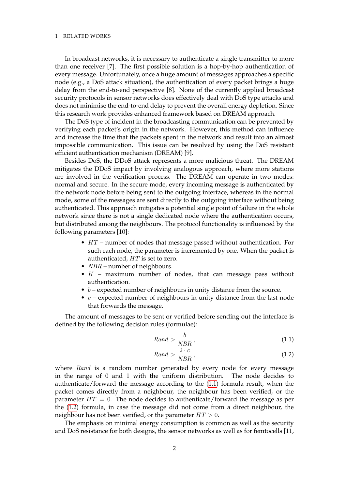In broadcast networks, it is necessary to authenticate a single transmitter to more than one receiver [7]. The first possible solution is a hop-by-hop authentication of every message. Unfortunately, once a huge amount of messages approaches a specific node (e.g., a DoS attack situation), the authentication of every packet brings a huge delay from the end-to-end perspective [8]. None of the currently applied broadcast security protocols in sensor networks does effectively deal with DoS type attacks and does not minimise the end-to-end delay to prevent the overall energy depletion. Since this research work provides enhanced framework based on DREAM approach.

The DoS type of incident in the broadcasting communication can be prevented by verifying each packet's origin in the network. However, this method can influence and increase the time that the packets spent in the network and result into an almost impossible communication. This issue can be resolved by using the DoS resistant efficient authentication mechanism (DREAM) [9].

Besides DoS, the DDoS attack represents a more malicious threat. The DREAM mitigates the DDoS impact by involving analogous approach, where more stations are involved in the verification process. The DREAM can operate in two modes: normal and secure. In the secure mode, every incoming message is authenticated by the network node before being sent to the outgoing interface, whereas in the normal mode, some of the messages are sent directly to the outgoing interface without being authenticated. This approach mitigates a potential single point of failure in the whole network since there is not a single dedicated node where the authentication occurs, but distributed among the neighbours. The protocol functionality is influenced by the following parameters [10]:

- $HT$  number of nodes that message passed without authentication. For such each node, the parameter is incremented by one. When the packet is authenticated,  $HT$  is set to zero.
- *NBR* number of neighbours.
- $K$  maximum number of nodes, that can message pass without authentication.
- $\bullet$  b expected number of neighbours in unity distance from the source.
- $c$  expected number of neighbours in unity distance from the last node that forwards the message.

The amount of messages to be sent or verified before sending out the interface is defined by the following decision rules (formulae):

<span id="page-5-0"></span>
$$
Rand > \frac{b}{NBR},\tag{1.1}
$$

<span id="page-5-1"></span>
$$
Rand > \frac{2 \cdot c}{NBR},\tag{1.2}
$$

where Rand is a random number generated by every node for every message in the range of 0 and 1 with the uniform distribution. The node decides to authenticate/forward the message according to the [\(1.1\)](#page-5-0) formula result, when the packet comes directly from a neighbour, the neighbour has been verified, or the parameter  $HT = 0$ . The node decides to authenticate/forward the message as per the [\(1.2\)](#page-5-1) formula, in case the message did not come from a direct neighbour, the neighbour has not been verified, or the parameter  $HT > 0$ .

The emphasis on minimal energy consumption is common as well as the security and DoS resistance for both designs, the sensor networks as well as for femtocells [11,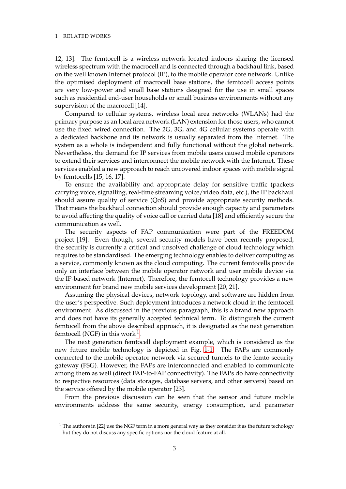12, 13]. The femtocell is a wireless network located indoors sharing the licensed wireless spectrum with the macrocell and is connected through a backhaul link, based on the well known Internet protocol (IP), to the mobile operator core network. Unlike the optimised deployment of macrocell base stations, the femtocell access points are very low-power and small base stations designed for the use in small spaces such as residential end-user households or small business environments without any supervision of the macrocell [14].

Compared to cellular systems, wireless local area networks (WLANs) had the primary purpose as an local area network (LAN) extension for those users, who cannot use the fixed wired connection. The 2G, 3G, and 4G cellular systems operate with a dedicated backbone and its network is usually separated from the Internet. The system as a whole is independent and fully functional without the global network. Nevertheless, the demand for IP services from mobile users caused mobile operators to extend their services and interconnect the mobile network with the Internet. These services enabled a new approach to reach uncovered indoor spaces with mobile signal by femtocells [15, 16, 17].

To ensure the availability and appropriate delay for sensitive traffic (packets carrying voice, signalling, real-time streaming voice/video data, etc.), the IP backhaul should assure quality of service (QoS) and provide appropriate security methods. That means the backhaul connection should provide enough capacity and parameters to avoid affecting the quality of voice call or carried data [18] and efficiently secure the communication as well.

The security aspects of FAP communication were part of the FREEDOM project [19]. Even though, several security models have been recently proposed, the security is currently a critical and unsolved challenge of cloud technology which requires to be standardised. The emerging technology enables to deliver computing as a service, commonly known as the cloud computing. The current femtocells provide only an interface between the mobile operator network and user mobile device via the IP-based network (Internet). Therefore, the femtocell technology provides a new environment for brand new mobile services development [20, 21].

Assuming the physical devices, network topology, and software are hidden from the user's perspective. Such deployment introduces a network cloud in the femtocell environment. As discussed in the previous paragraph, this is a brand new approach and does not have its generally accepted technical term. To distinguish the current femtocell from the above described approach, it is designated as the next generation femtocell (NGF) in this work  $^1$  $^1$ .

The next generation femtocell deployment example, which is considered as the new future mobile technology is depicted in Fig. [1-1.](#page-7-1) The FAPs are commonly connected to the mobile operator network via secured tunnels to the femto security gateway (FSG). However, the FAPs are interconnected and enabled to communicate among them as well (direct FAP-to-FAP connectivity). The FAPs do have connectivity to respective resources (data storages, database servers, and other servers) based on the service offered by the mobile operator [23].

From the previous discussion can be seen that the sensor and future mobile environments address the same security, energy consumption, and parameter

<span id="page-6-0"></span><sup>&</sup>lt;sup>1</sup> The authors in [22] use the NGF term in a more general way as they consider it as the future techology but they do not discuss any specific options nor the cloud feature at all.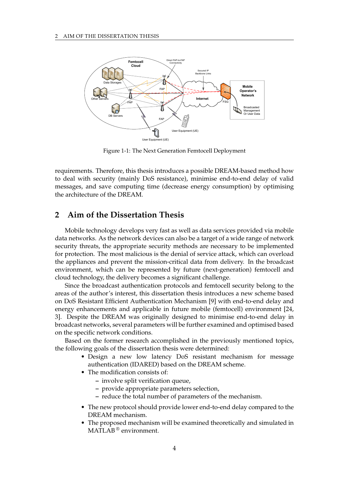<span id="page-7-1"></span>

Figure 1-1: The Next Generation Femtocell Deployment

requirements. Therefore, this thesis introduces a possible DREAM-based method how to deal with security (mainly DoS resistance), minimise end-to-end delay of valid messages, and save computing time (decrease energy consumption) by optimising the architecture of the DREAM.

# <span id="page-7-0"></span>**2 Aim of the Dissertation Thesis**

Mobile technology develops very fast as well as data services provided via mobile data networks. As the network devices can also be a target of a wide range of network security threats, the appropriate security methods are necessary to be implemented for protection. The most malicious is the denial of service attack, which can overload the appliances and prevent the mission-critical data from delivery. In the broadcast environment, which can be represented by future (next-generation) femtocell and cloud technology, the delivery becomes a significant challenge.

Since the broadcast authentication protocols and femtocell security belong to the areas of the author's interest, this dissertation thesis introduces a new scheme based on DoS Resistant Efficient Authentication Mechanism [9] with end-to-end delay and energy enhancements and applicable in future mobile (femtocell) environment [24, 3]. Despite the DREAM was originally designed to minimise end-to-end delay in broadcast networks, several parameters will be further examined and optimised based on the specific network conditions.

Based on the former research accomplished in the previously mentioned topics, the following goals of the dissertation thesis were determined:

- Design a new low latency DoS resistant mechanism for message authentication (IDARED) based on the DREAM scheme.
- The modification consists of:
	- **–** involve split verification queue,
	- **–** provide appropriate parameters selection,
	- **–** reduce the total number of parameters of the mechanism.
- The new protocol should provide lower end-to-end delay compared to the DREAM mechanism.
- The proposed mechanism will be examined theoretically and simulated in MATLAB<sup>®</sup> environment.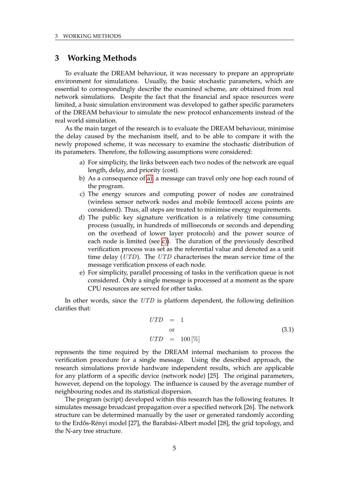# <span id="page-8-0"></span>**3 Working Methods**

To evaluate the DREAM behaviour, it was necessary to prepare an appropriate environment for simulations. Usually, the basic stochastic parameters, which are essential to correspondingly describe the examined scheme, are obtained from real network simulations. Despite the fact that the financial and space resources were limited, a basic simulation environment was developed to gather specific parameters of the DREAM behaviour to simulate the new protocol enhancements instead of the real world simulation.

As the main target of the research is to evaluate the DREAM behaviour, minimise the delay caused by the mechanism itself, and to be able to compare it with the newly proposed scheme, it was necessary to examine the stochastic distribution of its parameters. Therefore, the following assumptions were considered:

- <span id="page-8-1"></span>a) For simplicity, the links between each two nodes of the network are equal length, delay, and priority (cost).
- b) As a consequence of [a\),](#page-8-1) a message can travel only one hop each round of the program.
- <span id="page-8-2"></span>c) The energy sources and computing power of nodes are constrained (wireless sensor network nodes and mobile femtocell access points are considered). Thus, all steps are treated to minimise energy requirements.
- d) The public key signature verification is a relatively time consuming process (usually, in hundreds of milliseconds or seconds and depending on the overhead of lower layer protocols) and the power source of each node is limited (see [c\)\)](#page-8-2). The duration of the previously described verification process was set as the referential value and denoted as a unit time delay (UTD). The UTD characterises the mean service time of the message verification process of each node.
- e) For simplicity, parallel processing of tasks in the verification queue is not considered. Only a single message is processed at a moment as the spare CPU resources are served for other tasks.

In other words, since the UTD is platform dependent, the following definition clarifies that:

$$
UTD = 1
$$
  
or  

$$
UTD = 100 [\%]
$$
 (3.1)

represents the time required by the DREAM internal mechanism to process the verification procedure for a single message. Using the described approach, the research simulations provide hardware independent results, which are applicable for any platform of a specific device (network node) [25]. The original parameters, however, depend on the topology. The influence is caused by the average number of neighbouring nodes and its statistical dispersion.

The program (script) developed within this research has the following features. It simulates message broadcast propagation over a specified network [26]. The network structure can be determined manually by the user or generated randomly according to the Erdős-Rényi model [27], the Barabási-Albert model [28], the grid topology, and the N-ary tree structure.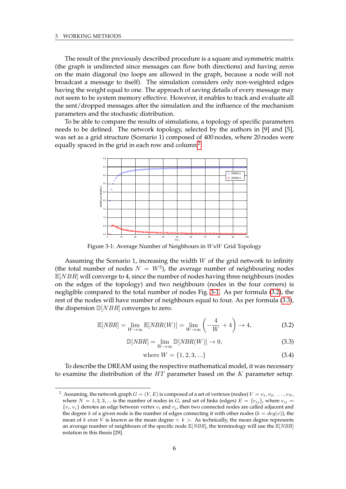The result of the previously described procedure is a square and symmetric matrix (the graph is undirected since messages can flow both directions) and having zeros on the main diagonal (no loops are allowed in the graph, because a node will not broadcast a message to itself). The simulation considers only non-weighted edges having the weight equal to one. The approach of saving details of every message may not seem to be system memory effective. However, it enables to track and evaluate all the sent/dropped messages after the simulation and the influence of the mechanism parameters and the stochastic distribution.

<span id="page-9-1"></span>To be able to compare the results of simulations, a topology of specific parameters needs to be defined. The network topology, selected by the authors in [9] and [5], was set as a grid structure (Scenario 1) composed of 400 nodes, where 20 nodes were equally spaced in the grid in each row and column  $^2$  $^2$ .



Figure 3-1: Average Number of Neighbours in WxW Grid Topology

Assuming the Scenario 1, increasing the width  $W$  of the grid network to infinity (the total number of nodes  $N = W^2$ ), the average number of neighbouring nodes  $\mathbb{E}[NBR]$  will converge to 4, since the number of nodes having three neighbours (nodes on the edges of the topology) and two neighbours (nodes in the four corners) is negligible compared to the total number of nodes Fig. [3-1.](#page-9-1) As per formula [\(3.2\)](#page-9-2), the rest of the nodes will have number of neighbours equal to four. As per formula [\(3.3\)](#page-9-3), the dispersion  $D[NBR]$  converges to zero.

<span id="page-9-2"></span>
$$
\mathbb{E}[NBR] = \lim_{W \to \infty} \mathbb{E}[NBR(W)] = \lim_{W \to \infty} \left(-\frac{4}{W} + 4\right) \to 4,\tag{3.2}
$$

<span id="page-9-3"></span>
$$
\mathbb{D}[NBR] = \lim_{W \to \infty} \mathbb{D}[NBR(W)] \to 0,
$$
\n(3.3)

where 
$$
W = \{1, 2, 3, ...\}
$$
 (3.4)

To describe the DREAM using the respective mathematical model, it was necessary to examine the distribution of the  $HT$  parameter based on the  $K$  parameter setup.

<span id="page-9-0"></span>Assuming, the network graph  $G = (V, E)$  is composed of a set of vertexes (nodes)  $V = v_1, v_2, \ldots, v_N$ , where  $N = 1, 2, 3, ...$  is the number of nodes in G, and set of links (edges)  $E = \{e_{ij}\}\$ , where  $e_{ij}$  $\{v_i, v_j\}$  denotes an edge between vertex  $v_i$  and  $v_j$ , then two connected nodes are called adjacent and the degree k of a given node is the number of edges connecting it with other nodes ( $k = deg(v)$ ), the mean of k over V is known as the mean degree  $< k >$ . As technically, the mean degree represents an average number of neighbours of the specific node  $\mathbb{E}[NBR]$ , the terminology will use the  $\mathbb{E}[NBR]$ notation in this thesis [29].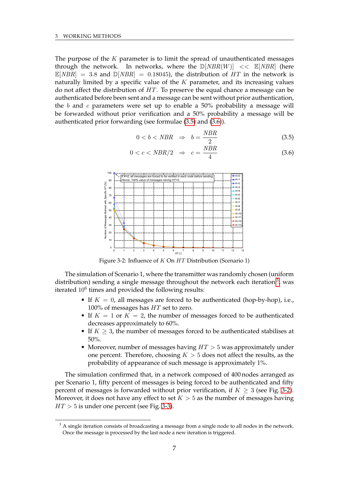The purpose of the  $K$  parameter is to limit the spread of unauthenticated messages through the network. In networks, where the  $\mathbb{D}[NBR(W)] \leq \mathbb{E}[NBR]$  (here  $\mathbb{E}[NBR] = 3.8$  and  $\mathbb{D}[NBR] = 0.18045$ , the distribution of HT in the network is naturally limited by a specific value of the  $K$  parameter, and its increasing values do not affect the distribution of HT. To preserve the equal chance a message can be authenticated before been sent and a message can be sent without prior authentication, the b and c parameters were set up to enable a  $50\%$  probability a message will be forwarded without prior verification and a 50% probability a message will be authenticated prior forwarding (see formulae [\(3.5\)](#page-10-0) and [\(3.6\)](#page-10-0)).

<span id="page-10-0"></span>
$$
0 < b < NBR \Rightarrow b = \frac{NBR}{2} \tag{3.5}
$$

$$
0 < c < NBR/2 \quad \Rightarrow \quad c = \frac{NBR}{4} \tag{3.6}
$$

<span id="page-10-2"></span>

Figure 3-2: Influence of K On HT Distribution (Scenario 1)

The simulation of Scenario 1, where the transmitter was randomly chosen (uniform distribution) sending a single message throughout the network each iteration  $^3$  $^3$ , was iterated  $10^6$  times and provided the following results:

- If  $K = 0$ , all messages are forced to be authenticated (hop-by-hop), i.e., 100% of messages has HT set to zero.
- If  $K = 1$  or  $K = 2$ , the number of messages forced to be authenticated decreases approximately to 60%.
- If  $K \geq 3$ , the number of messages forced to be authenticated stabilises at 50%.
- Moreover, number of messages having  $HT > 5$  was approximately under one percent. Therefore, choosing  $K > 5$  does not affect the results, as the probability of appearance of such message is approximately 1%.

The simulation confirmed that, in a network composed of 400 nodes arranged as per Scenario 1, fifty percent of messages is being forced to be authenticated and fifty percent of messages is forwarded without prior verification, if  $K \geq 3$  (see Fig. [3-2\)](#page-10-2). Moreover, it does not have any effect to set  $K > 5$  as the number of messages having  $HT > 5$  is under one percent (see Fig. [3-3\)](#page-11-0).

<span id="page-10-1"></span> $3$  A single iteration consists of broadcasting a message from a single node to all nodes in the network. Once the message is processed by the last node a new iteration is triggered.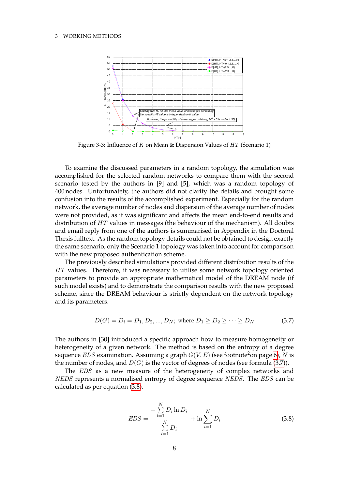<span id="page-11-0"></span>

Figure 3-3: Influence of K on Mean & Dispersion Values of  $HT$  (Scenario 1)

To examine the discussed parameters in a random topology, the simulation was accomplished for the selected random networks to compare them with the second scenario tested by the authors in [9] and [5], which was a random topology of 400 nodes. Unfortunately, the authors did not clarify the details and brought some confusion into the results of the accomplished experiment. Especially for the random network, the average number of nodes and dispersion of the average number of nodes were not provided, as it was significant and affects the mean end-to-end results and distribution of HT values in messages (the behaviour of the mechanism). All doubts and email reply from one of the authors is summarised in Appendix in the Doctoral Thesis fulltext. As the random topology details could not be obtained to design exactly the same scenario, only the Scenario 1 topology was taken into account for comparison with the new proposed authentication scheme.

The previously described simulations provided different distribution results of the HT values. Therefore, it was necessary to utilise some network topology oriented parameters to provide an appropriate mathematical model of the DREAM node (if such model exists) and to demonstrate the comparison results with the new proposed scheme, since the DREAM behaviour is strictly dependent on the network topology and its parameters.

<span id="page-11-1"></span>
$$
D(G) = D_i = D_1, D_2, ..., D_N; \text{ where } D_1 \ge D_2 \ge \cdots \ge D_N \tag{3.7}
$$

The authors in [30] introduced a specific approach how to measure homogeneity or heterogeneity of a given network. The method is based on the entropy of a degree sequence *EDS* examination. Assuming a graph  $G(V, E)$  (see footnote<sup>2</sup>on page [6\)](#page-9-0), N is the number of nodes, and  $D(G)$  is the vector of degrees of nodes (see formula [\(3.7\)](#page-11-1)).

The *EDS* as a new measure of the heterogeneity of complex networks and NEDS represents a normalised entropy of degree sequence NEDS. The EDS can be calculated as per equation [\(3.8\)](#page-11-2).

<span id="page-11-2"></span>
$$
EDS = \frac{-\sum_{i=1}^{N} D_i \ln D_i}{\sum_{i=1}^{N} D_i} + \ln \sum_{i=1}^{N} D_i
$$
\n(3.8)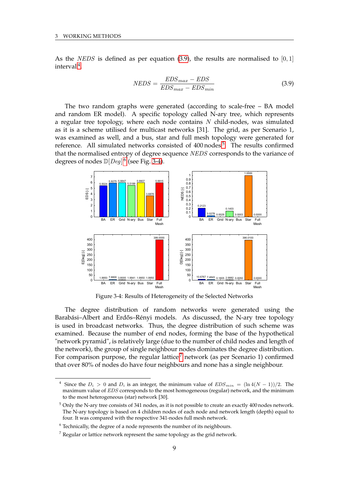As the *NEDS* is defined as per equation [\(3.9\)](#page-12-0), the results are normalised to  $[0, 1]$  $interval<sup>4</sup>$  $interval<sup>4</sup>$  $interval<sup>4</sup>$ .

<span id="page-12-0"></span>
$$
NEDS = \frac{EDS_{max} - EDS}{EDS_{max} - EDS_{min}}\tag{3.9}
$$

The two random graphs were generated (according to scale-free – BA model and random ER model). A specific topology called N-ary tree, which represents a regular tree topology, where each node contains  $N$  child-nodes, was simulated as it is a scheme utilised for multicast networks [31]. The grid, as per Scenario 1, was examined as well, and a bus, star and full mesh topology were generated for reference. All simulated networks consisted of 400 nodes<sup>[5](#page-12-2)</sup>. The results confirmed that the normalised entropy of degree sequence NEDS corresponds to the variance of degrees of nodes  $\mathbb{D}[Deg]^6$  $\mathbb{D}[Deg]^6$  (see Fig. [3-4\)](#page-12-4).

<span id="page-12-4"></span>

Figure 3-4: Results of Heterogeneity of the Selected Networks

The degree distribution of random networks were generated using the Barabási–Albert and Erdős–Rényi models. As discussed, the N-ary tree topology is used in broadcast networks. Thus, the degree distribution of such scheme was examined. Because the number of end nodes, forming the base of the hypothetical "network pyramid", is relatively large (due to the number of child nodes and length of the network), the group of single neighbour nodes dominates the degree distribution. For comparison purpose, the regular lattice<sup>[7](#page-12-5)</sup> network (as per Scenario 1) confirmed that over 80% of nodes do have four neighbours and none has a single neighbour.

<span id="page-12-1"></span><sup>&</sup>lt;sup>4</sup> Since the  $D_i > 0$  and  $D_i$  is an integer, the minimum value of  $EDS_{min} = (\ln 4(N-1))/2$ . The maximum value of EDS corresponds to the most homogeneous (regular) network, and the minimum to the most heterogeneous (star) network [30].

<span id="page-12-2"></span><sup>5</sup> Only the N-ary tree consists of 341 nodes, as it is not possible to create an exactly 400 nodes network. The N-ary topology is based on 4 children nodes of each node and network length (depth) equal to four. It was compared with the respective 341-nodes full mesh network.

<span id="page-12-3"></span> $6$  Technically, the degree of a node represents the number of its neighbours.

<span id="page-12-5"></span> $7$  Regular or lattice network represent the same topology as the grid network.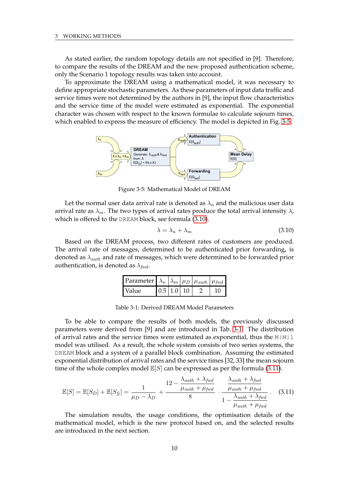As stated earlier, the random topology details are not specified in [9]. Therefore, to compare the results of the DREAM and the new proposed authentication scheme, only the Scenario 1 topology results was taken into account.

To approximate the DREAM using a mathematical model, it was necessary to define appropriate stochastic parameters. As these parameters of input data traffic and service times were not determined by the authors in [9], the input flow characteristics and the service time of the model were estimated as exponential. The exponential character was chosen with respect to the known formulae to calculate sojourn times, which enabled to express the measure of efficiency. The model is depicted in Fig. [3-5.](#page-13-0)

<span id="page-13-0"></span>

Figure 3-5: Mathematical Model of DREAM

Let the normal user data arrival rate is denoted as  $\lambda_n$  and the malicious user data arrival rate as  $\lambda_m$ . The two types of arrival rates produce the total arrival intensity  $\lambda$ , which is offered to the DREAM block, see formula [\(3.10\)](#page-13-1).

<span id="page-13-1"></span>
$$
\lambda = \lambda_n + \lambda_m \tag{3.10}
$$

<span id="page-13-2"></span>Based on the DREAM process, two different rates of customers are produced. The arrival rate of messages, determined to be authenticated prior forwarding, is denoted as  $\lambda_{auth}$  and rate of messages, which were determined to be forwarded prior authentication, is denoted as  $\lambda_{fwd}$ .

| Parameter $\lambda_n \left  \lambda_m \right  \mu_D \left  \mu_{auth} \right  \mu_{fwd}$ |                        |  |  |
|------------------------------------------------------------------------------------------|------------------------|--|--|
| Value                                                                                    | $0.5 \mid 1.0 \mid 10$ |  |  |

To be able to compare the results of both models, the previously discussed parameters were derived from [9] and are introduced in Tab. [3-1.](#page-13-2) The distribution of arrival rates and the service times were estimated as exponential, thus the  $M|M|1$ model was utilised. As a result, the whole system consists of two series systems, the DREAM block and a system of a parallel block combination. Assuming the estimated exponential distribution of arrival rates and the service times [32, 33] the mean sojourn time of the whole complex model  $\mathbb{E}[S]$  can be expressed as per the formula [\(3.11\)](#page-13-3).

<span id="page-13-3"></span>
$$
\mathbb{E}[S] = \mathbb{E}[S_D] + \mathbb{E}[S_{fj}] = \frac{1}{\mu_D - \lambda_D} + \frac{12 - \frac{\lambda_{auth} + \lambda_{fwd}}{\mu_{auth} + \mu_{fwd}}}{8} \cdot \frac{\frac{\lambda_{auth} + \lambda_{fwd}}{\mu_{auth} + \mu_{fwd}}}{1 - \frac{\lambda_{auth} + \lambda_{fwd}}{\mu_{auth} + \mu_{fwd}}}.
$$
(3.11)

The simulation results, the usage conditions, the optimisation details of the mathematical model, which is the new protocol based on, and the selected results are introduced in the next section.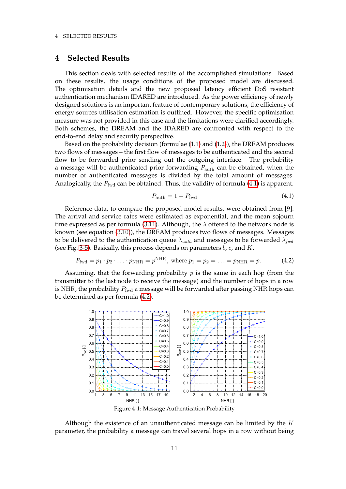### <span id="page-14-0"></span>**4 Selected Results**

This section deals with selected results of the accomplished simulations. Based on these results, the usage conditions of the proposed model are discussed. The optimisation details and the new proposed latency efficient DoS resistant authentication mechanism IDARED are introduced. As the power efficiency of newly designed solutions is an important feature of contemporary solutions, the efficiency of energy sources utilisation estimation is outlined. However, the specific optimisation measure was not provided in this case and the limitations were clarified accordingly. Both schemes, the DREAM and the IDARED are confronted with respect to the end-to-end delay and security perspective.

Based on the probability decision (formulae [\(1.1\)](#page-5-0) and [\(1.2\)](#page-5-1)), the DREAM produces two flows of messages – the first flow of messages to be authenticated and the second flow to be forwarded prior sending out the outgoing interface. The probability a message will be authenticated prior forwarding  $P_{\text{auth}}$  can be obtained, when the number of authenticated messages is divided by the total amount of messages. Analogically, the  $P_{\text{fwd}}$  can be obtained. Thus, the validity of formula [\(4.1\)](#page-14-1) is apparent.

<span id="page-14-1"></span>
$$
P_{\text{auth}} = 1 - P_{\text{fwd}} \tag{4.1}
$$

Reference data, to compare the proposed model results, were obtained from [9]. The arrival and service rates were estimated as exponential, and the mean sojourn time expressed as per formula [\(3.11\)](#page-13-3). Although, the  $\lambda$  offered to the network node is known (see equation [\(3.10\)](#page-13-1)), the DREAM produces two flows of messages. Messages to be delivered to the authentication queue  $\lambda_{auth}$  and messages to be forwarded  $\lambda_{fwd}$ (see Fig. [3-5\)](#page-13-0). Basically, this process depends on parameters  $b$ ,  $c$ , and  $K$ .

<span id="page-14-2"></span>
$$
P_{\text{fwd}} = p_1 \cdot p_2 \cdot \ldots \cdot p_{\text{NHR}} = p^{\text{NHR}}, \text{ where } p_1 = p_2 = \ldots = p_{\text{NHR}} = p. \tag{4.2}
$$

Assuming, that the forwarding probability  $p$  is the same in each hop (from the transmitter to the last node to receive the message) and the number of hops in a row is NHR, the probability  $P_{\text{fwd}}$  a message will be forwarded after passing NHR hops can be determined as per formula [\(4.2\)](#page-14-2).

<span id="page-14-3"></span>

Figure 4-1: Message Authentication Probability

Although the existence of an unauthenticated message can be limited by the  $K$ parameter, the probability a message can travel several hops in a row without being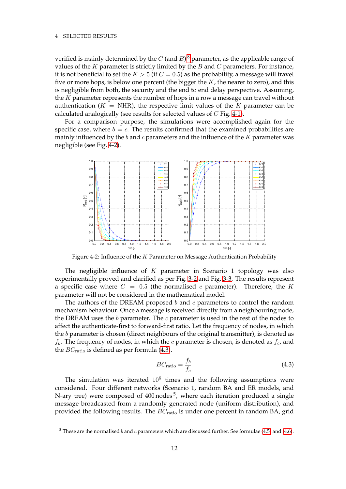verified is mainly determined by the  $C$  (and  $B) ^{\, 8}$  $B) ^{\, 8}$  $B) ^{\, 8}$  parameter, as the applicable range of values of the  $K$  parameter is strictly limited by the  $B$  and  $C$  parameters. For instance, it is not beneficial to set the  $K > 5$  (if  $C = 0.5$ ) as the probability, a message will travel five or more hops, is below one percent (the bigger the  $K$ , the nearer to zero), and this is negligible from both, the security and the end to end delay perspective. Assuming, the  $K$  parameter represents the number of hops in a row a message can travel without authentication ( $K = \text{NHR}$ ), the respective limit values of the K parameter can be calculated analogically (see results for selected values of C Fig. [4-1\)](#page-14-3).

For a comparison purpose, the simulations were accomplished again for the specific case, where  $b = c$ . The results confirmed that the examined probabilities are mainly influenced by the b and c parameters and the influence of the  $K$  parameter was negligible (see Fig. [4-2\)](#page-15-1).

<span id="page-15-1"></span>

Figure 4-2: Influence of the K Parameter on Message Authentication Probability

The negligible influence of  $K$  parameter in Scenario 1 topology was also experimentally proved and clarified as per Fig. [3-2](#page-10-2) and Fig. [3-3.](#page-11-0) The results represent a specific case where  $C = 0.5$  (the normalised c parameter). Therefore, the K parameter will not be considered in the mathematical model.

The authors of the DREAM proposed  $b$  and  $c$  parameters to control the random mechanism behaviour. Once a message is received directly from a neighbouring node, the DREAM uses the  $b$  parameter. The  $c$  parameter is used in the rest of the nodes to affect the authenticate-first to forward-first ratio. Let the frequency of nodes, in which the b parameter is chosen (direct neighbours of the original transmitter), is denoted as  $f_b$ . The frequency of nodes, in which the c parameter is chosen, is denoted as  $f_c$ , and the  $BC<sub>ratio</sub>$  is defined as per formula [\(4.3\)](#page-15-2).

<span id="page-15-2"></span>
$$
BC_{\text{ratio}} = \frac{f_b}{f_c} \tag{4.3}
$$

The simulation was iterated  $10^6$  times and the following assumptions were considered. Four different networks (Scenario 1, random BA and ER models, and N-ary tree) were composed of 400 nodes <sup>5</sup>, where each iteration produced a single message broadcasted from a randomly generated node (uniform distribution), and provided the following results. The  $BC<sub>ratio</sub>$  is under one percent in random BA, grid

<span id="page-15-0"></span><sup>&</sup>lt;sup>8</sup> These are the normalised *b* and *c* parameters which are discussed further. See formulae [\(4.5\)](#page-16-0) and [\(4.6\)](#page-16-1).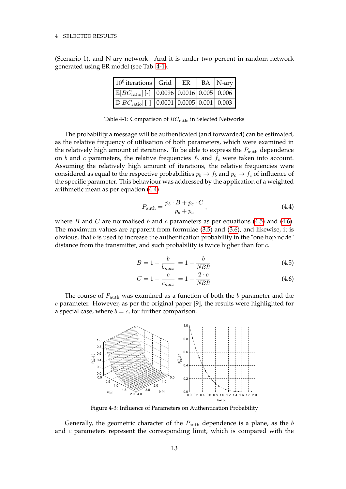<span id="page-16-2"></span>(Scenario 1), and N-ary network. And it is under two percent in random network generated using ER model (see Tab. [4-1\)](#page-16-2).

| $10^6$ iterations Grid                                                                  | ER | $BA$  N-ary |
|-----------------------------------------------------------------------------------------|----|-------------|
| $\mathbb{E}[BC_{\text{ratio}}]$ [-] $\big  0.0096 \big  0.0016 \big  0.005 \big  0.006$ |    |             |
| $\mathbb{D}[BC_{\text{ratio}}]$ [-] $\big  0.0001 \big  0.0005 \big  0.001 \big  0.003$ |    |             |

Table 4-1: Comparison of  $BC<sub>ratio</sub>$  in Selected Networks

The probability a message will be authenticated (and forwarded) can be estimated, as the relative frequency of utilisation of both parameters, which were examined in the relatively high amount of iterations. To be able to express the  $P_{\text{auth}}$  dependence on b and c parameters, the relative frequencies  $f_b$  and  $f_c$  were taken into account. Assuming the relatively high amount of iterations, the relative frequencies were considered as equal to the respective probabilities  $p_b \to f_b$  and  $p_c \to f_c$  of influence of the specific parameter. This behaviour was addressed by the application of a weighted arithmetic mean as per equation [\(4.4\)](#page-16-3)

<span id="page-16-3"></span>
$$
P_{\text{auth}} = \frac{p_b \cdot B + p_c \cdot C}{p_b + p_c},\tag{4.4}
$$

where B and C are normalised b and c parameters as per equations [\(4.5\)](#page-16-0) and [\(4.6\)](#page-16-1). The maximum values are apparent from formulae [\(3.5\)](#page-10-0) and [\(3.6\)](#page-10-0), and likewise, it is obvious, that  $b$  is used to increase the authentication probability in the "one hop node" distance from the transmitter, and such probability is twice higher than for  $c$ .

<span id="page-16-0"></span>
$$
B = 1 - \frac{b}{b_{max}} = 1 - \frac{b}{NBR}
$$
 (4.5)

<span id="page-16-1"></span>
$$
C = 1 - \frac{c}{c_{max}} = 1 - \frac{2 \cdot c}{NBR}
$$
 (4.6)

<span id="page-16-4"></span>The course of  $P_{\text{auth}}$  was examined as a function of both the b parameter and the c parameter. However, as per the original paper [9], the results were highlighted for a special case, where  $b = c$ , for further comparison.



Figure 4-3: Influence of Parameters on Authentication Probability

Generally, the geometric character of the  $P_{\text{auth}}$  dependence is a plane, as the  $b$ and  $c$  parameters represent the corresponding limit, which is compared with the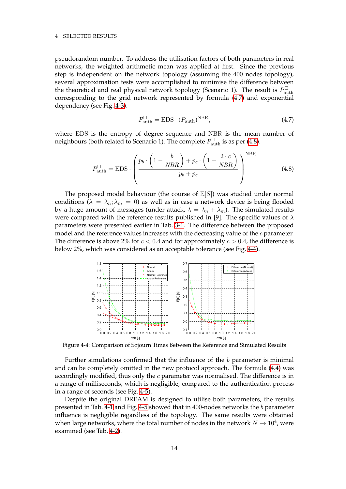pseudorandom number. To address the utilisation factors of both parameters in real networks, the weighted arithmetic mean was applied at first. Since the previous step is independent on the network topology (assuming the 400 nodes topology), several approximation tests were accomplished to minimise the difference between the theoretical and real physical network topology (Scenario 1). The result is  $P_{\text{at}}^{\square}$ auth corresponding to the grid network represented by formula [\(4.7\)](#page-17-0) and exponential dependency (see Fig. [4-3\)](#page-16-4).

<span id="page-17-0"></span>
$$
P_{\text{auth}}^{\square} = \text{EDS} \cdot (P_{\text{auth}})^{\text{NBR}},\tag{4.7}
$$

where EDS is the entropy of degree sequence and NBR is the mean number of neighbours (both related to Scenario 1). The complete  $P_{\text{auth}}^{\square}$  is as per [\(4.8\)](#page-17-1).

<span id="page-17-1"></span>
$$
P_{\text{auth}}^{\Box} = \text{EDS} \cdot \left( \frac{p_b \cdot \left( 1 - \frac{b}{NBR} \right) + p_c \cdot \left( 1 - \frac{2 \cdot c}{NBR} \right)}{p_b + p_c} \right)^{\text{NBR}} \tag{4.8}
$$

The proposed model behaviour (the course of  $\mathbb{E}[S]$ ) was studied under normal conditions ( $\lambda = \lambda_n$ ;  $\lambda_m = 0$ ) as well as in case a network device is being flooded by a huge amount of messages (under attack,  $\lambda = \lambda_n + \lambda_m$ ). The simulated results were compared with the reference results published in [9]. The specific values of  $\lambda$ parameters were presented earlier in Tab. [3-1.](#page-13-2) The difference between the proposed model and the reference values increases with the decreasing value of the  $c$  parameter. The difference is above 2% for  $c < 0.4$  and for approximately  $c > 0.4$ , the difference is below 2%, which was considered as an acceptable tolerance (see Fig. [4-4\)](#page-17-2).

<span id="page-17-2"></span>

Figure 4-4: Comparison of Sojourn Times Between the Reference and Simulated Results

Further simulations confirmed that the influence of the  $b$  parameter is minimal and can be completely omitted in the new protocol approach. The formula [\(4.4\)](#page-16-3) was accordingly modified, thus only the  $c$  parameter was normalised. The difference is in a range of milliseconds, which is negligible, compared to the authentication process in a range of seconds (see Fig. [4-5\)](#page-18-0).

Despite the original DREAM is designed to utilise both parameters, the results presented in Tab. [4-1](#page-16-2) and Fig. [4-5](#page-18-0) showed that in 400-nodes networks the b parameter influence is negligible regardless of the topology. The same results were obtained when large networks, where the total number of nodes in the network  $N\rightarrow 10^4$ , were examined (see Tab. [4-2\)](#page-18-1).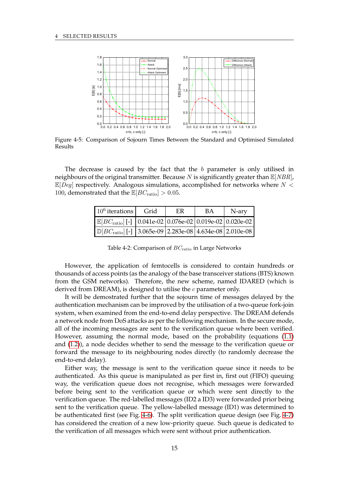<span id="page-18-0"></span>

Figure 4-5: Comparison of Sojourn Times Between the Standard and Optimised Simulated Results

<span id="page-18-1"></span>The decrease is caused by the fact that the b parameter is only utilised in neighbours of the original transmitter. Because N is significantly greater than  $\mathbb{E}[NBR]$ ,  $\mathbb{E}[Deg]$  respectively. Analogous simulations, accomplished for networks where  $N <$ 100, demonstrated that the  $\mathbb{E}[BC_{\text{ratio}}] > 0.05$ .

| $10^6$ iterations                                                           | Grid | ER. | ВA | N-ary |
|-----------------------------------------------------------------------------|------|-----|----|-------|
| $\mathbb{E}[BC_{\text{ratio}}]$ [-] 0.041e-02 0.076e-02 0.019e-02 0.020e-02 |      |     |    |       |
| $\mathbb{D}[BC_{\text{ratio}}]$ [-] 3.065e-09 2.283e-08 4.634e-08 2.010e-08 |      |     |    |       |

Table 4-2: Comparison of  $BC<sub>ratio</sub>$  in Large Networks

However, the application of femtocells is considered to contain hundreds or thousands of access points (as the analogy of the base transceiver stations (BTS) known from the GSM networks). Therefore, the new scheme, named IDARED (which is derived from DREAM), is designed to utilise the  $c$  parameter only.

It will be demostrated further that the sojourn time of messages delayed by the authentication mechanism can be improved by the utilisation of a two-queue fork-join system, when examined from the end-to-end delay perspective. The DREAM defends a network node from DoS attacks as per the following mechanism. In the secure mode, all of the incoming messages are sent to the verification queue where been verified. However, assuming the normal mode, based on the probability (equations [\(1.1\)](#page-5-0) and [\(1.2\)](#page-5-1)), a node decides whether to send the message to the verification queue or forward the message to its neighbouring nodes directly (to randomly decrease the end-to-end delay).

Either way, the message is sent to the verification queue since it needs to be authenticated. As this queue is manipulated as per first in, first out (FIFO) queuing way, the verification queue does not recognise, which messages were forwarded before being sent to the verification queue or which were sent directly to the verification queue. The red-labelled messages (ID2 a ID3) were forwarded prior being sent to the verification queue. The yellow-labelled message (ID1) was determined to be authenticated first (see Fig. [4-6\)](#page-19-0). The split verification queue design (see Fig. [4-7\)](#page-19-0) has considered the creation of a new low-priority queue. Such queue is dedicated to the verification of all messages which were sent without prior authentication.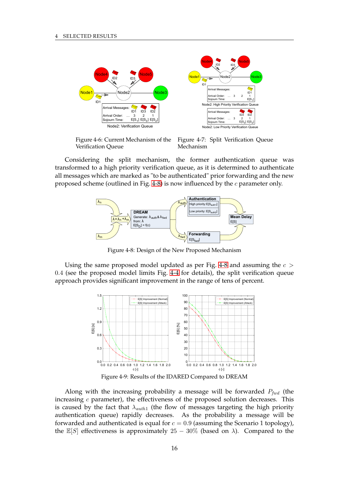<span id="page-19-0"></span>

Figure 4-6: Current Mechanism of the Verification Queue

Figure 4-7: Split Verification Queue Mechanism

<span id="page-19-1"></span>Considering the split mechanism, the former authentication queue was transformed to a high priority verification queue, as it is determined to authenticate all messages which are marked as "to be authenticated" prior forwarding and the new proposed scheme (outlined in Fig. [4-8\)](#page-19-1) is now influenced by the  $c$  parameter only.



Figure 4-8: Design of the New Proposed Mechanism

<span id="page-19-2"></span>Using the same proposed model updated as per Fig. [4-8](#page-19-1) and assuming the  $c >$ 0.4 (see the proposed model limits Fig. [4-4](#page-17-2) for details), the split verification queue approach provides significant improvement in the range of tens of percent.



Figure 4-9: Results of the IDARED Compared to DREAM

Along with the increasing probability a message will be forwarded  $P_{fwd}$  (the increasing  $c$  parameter), the effectiveness of the proposed solution decreases. This is caused by the fact that  $\lambda_{auth1}$  (the flow of messages targeting the high priority authentication queue) rapidly decreases. As the probability a message will be forwarded and authenticated is equal for  $c = 0.9$  (assuming the Scenario 1 topology), the E[S] effectiveness is approximately 25 – 30% (based on  $\lambda$ ). Compared to the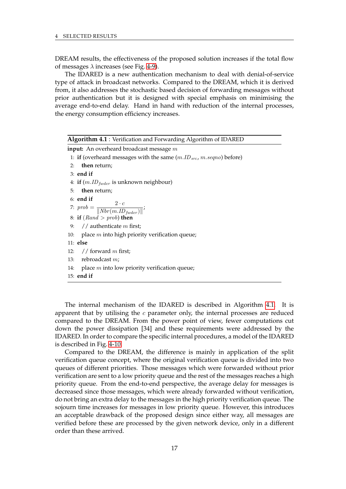DREAM results, the effectiveness of the proposed solution increases if the total flow of messages  $\lambda$  increases (see Fig. [4-9\)](#page-19-2).

The IDARED is a new authentication mechanism to deal with denial-of-service type of attack in broadcast networks. Compared to the DREAM, which it is derived from, it also addresses the stochastic based decision of forwarding messages without prior authentication but it is designed with special emphasis on minimising the average end-to-end delay. Hand in hand with reduction of the internal processes, the energy consumption efficiency increases.

<span id="page-20-0"></span>

| <b>Algorithm 4.1</b> : Verification and Forwarding Algorithm of IDARED  |
|-------------------------------------------------------------------------|
| <b>input:</b> An overheard broadcast message $m$                        |
| 1: if (overheard messages with the same $(m.ID_{src}, m-seqno)$ before) |
| then return;<br>2:                                                      |
| $3:$ end if                                                             |
| 4: if $(m.ID_{fwater}$ is unknown neighbour)                            |
| then return;<br>5:                                                      |
| $6:$ end if                                                             |
| 7: $prob = \frac{2 \cdot c}{\  Nbr(m.ID_{fnder}) \ }$                   |
| 8: if $(Rand > prob)$ then                                              |
| 9: // authenticate $m$ first;                                           |
| place $m$ into high priority verification queue;<br>10:                 |
| $11:$ else                                                              |
| 12: // forward m first;                                                 |
| 13: rebroadcast $m$ ;                                                   |
| place $m$ into low priority verification queue;<br>14:                  |
| $15:$ end if                                                            |
|                                                                         |

The internal mechanism of the IDARED is described in Algorithm [4.1.](#page-20-0) It is apparent that by utilising the  $c$  parameter only, the internal processes are reduced compared to the DREAM. From the power point of view, fewer computations cut down the power dissipation [34] and these requirements were addressed by the IDARED. In order to compare the specific internal procedures, a model of the IDARED is described in Fig. [4-10.](#page-21-1)

Compared to the DREAM, the difference is mainly in application of the split verification queue concept, where the original verification queue is divided into two queues of different priorities. Those messages which were forwarded without prior verification are sent to a low priority queue and the rest of the messages reaches a high priority queue. From the end-to-end perspective, the average delay for messages is decreased since those messages, which were already forwarded without verification, do not bring an extra delay to the messages in the high priority verification queue. The sojourn time increases for messages in low priority queue. However, this introduces an acceptable drawback of the proposed design since either way, all messages are verified before these are processed by the given network device, only in a different order than these arrived.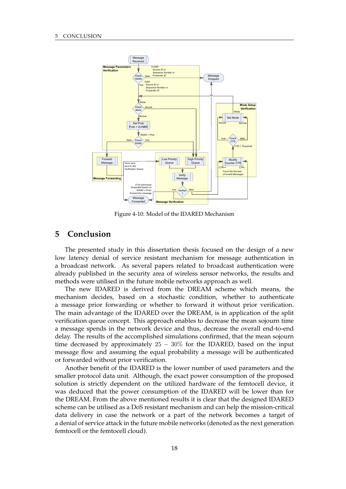<span id="page-21-1"></span>

Figure 4-10: Model of the IDARED Mechanism

# <span id="page-21-0"></span>**5 Conclusion**

The presented study in this dissertation thesis focused on the design of a new low latency denial of service resistant mechanism for message authentication in a broadcast network. As several papers related to broadcast authentication were already published in the security area of wireless sensor networks, the results and methods were utilised in the future mobile networks approach as well.

The new IDARED is derived from the DREAM scheme which means, the mechanism decides, based on a stochastic condition, whether to authenticate a message prior forwarding or whether to forward it without prior verification. The main advantage of the IDARED over the DREAM, is in application of the split verification queue concept. This approach enables to decrease the mean sojourn time a message spends in the network device and thus, decrease the overall end-to-end delay. The results of the accomplished simulations confirmed, that the mean sojourn time decreased by approximately  $25 - 30\%$  for the IDARED, based on the input message flow and assuming the equal probability a message will be authenticated or forwarded without prior verification.

Another benefit of the IDARED is the lower number of used parameters and the smaller protocol data unit. Although, the exact power consumption of the proposed solution is strictly dependent on the utilized hardware of the femtocell device, it was deduced that the power consumption of the IDARED will be lower than for the DREAM. From the above mentioned results it is clear that the designed IDARED scheme can be utilised as a DoS resistant mechanism and can help the mission-critical data delivery in case the network or a part of the network becomes a target of a denial of service attack in the future mobile networks (denoted as the next generation femtocell or the femtocell cloud).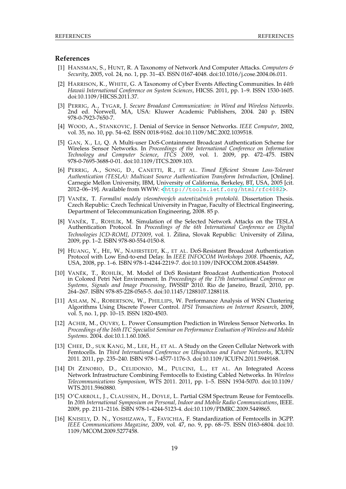#### **References**

- [1] HANSMAN, S., HUNT, R. A Taxonomy of Network And Computer Attacks. *Computers & Security*, 2005, vol. 24, no. 1, pp. 31–43. ISSN 0167-4048. doi:10.1016/j.cose.2004.06.011.
- [2] HARRISON, K., WHITE, G. A Taxonomy of Cyber Events Affecting Communities. In *44th Hawaii International Conference on System Sciences*, HICSS. 2011, pp. 1–9. ISSN 1530-1605. doi:10.1109/HICSS.2011.37.
- [3] PERRIG, A., TYGAR, J. *Secure Broadcast Communication: in Wired and Wireless Networks*. 2nd ed. Norwell, MA, USA: Kluwer Academic Publishers, 2004. 240 p. ISBN 978-0-7923-7650-7.
- [4] WOOD, A., STANKOVIC, J. Denial of Service in Sensor Networks. *IEEE Computer*, 2002, vol. 35, no. 10, pp. 54–62. ISSN 0018-9162. doi:10.1109/MC.2002.1039518.
- [5] GAN, X., LI, Q. A Multi-user DoS-Containment Broadcast Authentication Scheme for Wireless Sensor Networks. In *Proceedings of the International Conference on Information Technology and Computer Science*, *ITCS 2009*, vol. 1. 2009, pp. 472–475. ISBN 978-0-7695-3688-0-01. doi:10.1109/ITCS.2009.103.
- [6] PERRIG, A., SONG, D., CANETTI, R., ET AL. *Timed Efficient Stream Loss-Tolerant Authentication (TESLA): Multicast Source Authentication Transform Introduction*, [Online]. Carnegie Mellon University, IBM, University of California, Berkeley, BT, USA, 2005 [cit. 2012–06–19]. Available from WWW: <<http://tools.ietf.org/html/rfc4082>>.
- [7] VANĚK, T. Formální modely všesměrových autentizačních protokolů. Dissertation Thesis. Czech Republic: Czech Technical University in Prague, Faculty of Electrical Engineering, Department of Telecommunication Engineering, 2008. 85 p.
- [8] VANĚK, T., ROHLÍK, M. Simulation of the Selected Network Attacks on the TESLA Authentication Protocol. In *Proceedings of the 6th International Conference on Digital Technologies [CD-ROM]*, *DT2009*, vol. 1. Žilina, Slovak Republic: University of Zilina, 2009, pp. 1–2. ISBN 978-80-554-0150-8.
- [9] HUANG, Y., HE, W., NAHRSTEDT, K., ET AL. DoS-Resistant Broadcast Authentication Protocol with Low End-to-end Delay. In *IEEE INFOCOM Workshops 2008*. Phoenix, AZ, USA, 2008, pp. 1–6. ISBN 978-1-4244-2219-7. doi:10.1109/INFOCOM.2008.4544589.
- [10] VANĚK, T., ROHLÍK, M. Model of DoS Resistant Broadcast Authentication Protocol in Colored Petri Net Environment. In *Proceedings of the 17th International Conference on Systems, Signals and Image Processing*, IWSSIP 2010. Rio de Janeiro, Brazil, 2010, pp. 264–267. ISBN 978-85-228-0565-5. doi:10.1145/1288107.1288118.
- [11] ASLAM, N., ROBERTSON, W., PHILLIPS, W. Performance Analysis of WSN Clustering Algorithms Using Discrete Power Control. *IPSI Transactions on Internet Research*, 2009, vol. 5, no. 1, pp. 10–15. ISSN 1820-4503.
- [12] ACHIR, M., OUVRY, L. Power Consumption Prediction in Wireless Sensor Networks. In *Proceedings of the 16th ITC Specialist Seminar on Performance Evaluation of Wireless and Mobile Systems*. 2004. doi:10.1.1.60.1065.
- [13] CHEE, D., SUK KANG, M., LEE, H., ET AL. A Study on the Green Cellular Network with Femtocells. In *Third International Conference on Ubiquitous and Future Networks*, ICUFN 2011. 2011, pp. 235–240. ISBN 978-1-4577-1176-3. doi:10.1109/ICUFN.2011.5949168.
- [14] DI ZENOBIO, D., CELIDONIO, M., PULCINI, L., ET AL. An Integrated Access Network Infrastructure Combining Femtocells to Existing Cabled Networks. In *Wireless Telecommunications Symposium*, WTS 2011. 2011, pp. 1–5. ISSN 1934-5070. doi:10.1109/ WTS.2011.5960880.
- [15] O'CARROLL, J., CLAUSSEN, H., DOYLE, L. Partial GSM Spectrum Reuse for Femtocells. In *20th International Symposium on Personal, Indoor and Mobile Radio Communications*, IEEE. 2009, pp. 2111–2116. ISBN 978-1-4244-5123-4. doi:10.1109/PIMRC.2009.5449865.
- [16] KNISELY, D. N., YOSHIZAWA, T., FAVICHIA, F. Standardization of Femtocells in 3GPP. *IEEE Communications Magazine*, 2009, vol. 47, no. 9, pp. 68–75. ISSN 0163-6804. doi:10. 1109/MCOM.2009.5277458.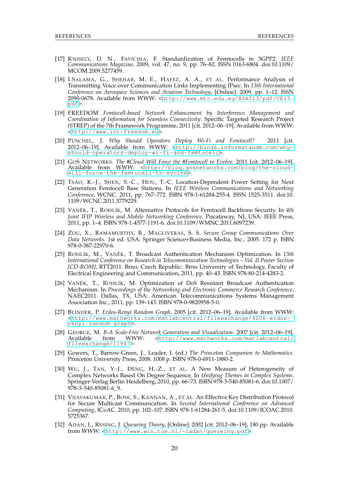- [17] KNISELY, D. N., FAVICHIA, F. Standardization of Femtocells in 3GPP2. *IEEE Communications Magazine*, 2009, vol. 47, no. 9, pp. 76–82. ISSN 0163-6804. doi:10.1109/ MCOM.2009.5277459.
- [18] I.SALAMA, G., SHEHAB, M. E., HAFEZ, A. A., ET AL. Performance Analysis of Transmitting Voice over Communication Links Implementing IPsec. In *13th International Conference on Aerospace Sciences and Aviation Technology*, [Online]. 2009, pp. 1–12. ISSN 2090-0678. Available from WWW: <[http://www.mtc.edu.eg/ASAT13/pdf/CE13.](http://www.mtc.edu.eg/ASAT13/pdf/CE13.pdf) [pdf](http://www.mtc.edu.eg/ASAT13/pdf/CE13.pdf)>.
- [19] FREEDOM *Femtocell-based Network Enhancement by Interference Management and Coordination of Information for Seamless Connectivity*. Specific Targeted Research Project (STREP) of the 7th Framework Programme, 2011 [cit. 2012–06–19]. Available from WWW: <<http://www.ict-freedom.eu>>.
- [20] PÜSCHEL, J. *Why Should Operators Deploy Wi-Fi and Femtocell?* 2011 [cit. 2012–06–19]. Available from WWW: <[http://blogs.informatandm.com/why](http://blogs.informatandm.com/why-should-operators-deploy-wi-fi-and-femtocell)[should-operators-deploy-wi-fi-and-femtocell](http://blogs.informatandm.com/why-should-operators-deploy-wi-fi-and-femtocell)>.
- [21] GOS NETWORKS. *The #Cloud Will Force the #Femtocell to Evolve*. 2011 [cit. 2012–06–19]. Available from WWW: <[http://blog.gosnetworks.com/blog/the-cloud](http://blog.gosnetworks.com/blog/the-cloud-will-force-the-femtocell-to-evolve)[will-force-the-femtocell-to-evolve](http://blog.gosnetworks.com/blog/the-cloud-will-force-the-femtocell-to-evolve)>.
- [22] TSAO, K.-J., SHEN, S.-C., HOU, T.-C. Location-Dependent Power Setting for Next Generation Femtocell Base Stations. In *IEEE Wireless Communications and Networking Conference*, WCNC. 2011, pp. 767–772. ISBN 978-1-61284-255-4. ISSN 1525-3511. doi:10. 1109/WCNC.2011.5779229.
- [23] VANĚK, T., ROHLÍK, M. Alternative Protocols for Femtocell Backbone Security. In 4th *Joint IFIP Wireless and Mobile Networking Conference*. Piscataway, NJ, USA: IEEE Press, 2011, pp. 1–4. ISBN 978-1-4577-1191-6. doi:10.1109/WMNC.2011.6097239.
- [24] ZOU, X., RAMAMURTHY, B., MAGLIVERAS, S. S. *Secure Group Communications Over Data Networks*. 1st ed. USA: Springer Science+Business Media, Inc., 2005. 172 p. ISBN 978-0-387-22970-6.
- [25] ROHLÍK, M., VANĚK, T. Broadcast Authentication Mechanism Optimization. In 13th *International Conference on Research in Telecommunication Technologies – Vol. II Poster Section [CD-ROM]*, RTT2011. Brno, Czech Republic: Brno University of Technology, Faculty of Electrical Engineering and Communication, 2011, pp. 40–43. ISBN 978-80-214-4283-2.
- [26] VANĚK, T., ROHLÍK, M. Optimization of DoS Resistant Broadcast Authentication Mechanism. In *Proceedings of the Networking and Electronic Commerce Research Conference*, NAEC2011. Dallas, TX, USA: American Telecommunications Systems Management Association Inc., 2011, pp. 139–143. ISBN 978-0-9820958-5-0.
- [27] BLINDER, P. *Erdos-Renyi Random Graph*. 2005 [cit. 2012–06–19]. Available from WWW: <[http://www.mathworks.com/matlabcentral/fileexchange/4206-erdos](http://www.mathworks.com/matlabcentral/fileexchange/4206-erdos-renyi-random-graph)[renyi-random-graph](http://www.mathworks.com/matlabcentral/fileexchange/4206-erdos-renyi-random-graph)>.
- [28] GEORGE, M. *B-A Scale-Free Network Generation and Visualization*. 2007 [cit. 2012–06–19].  $\text{Khttp://www.mathworks.com/matlabcentral/}$  $\text{Khttp://www.mathworks.com/matlabcentral/}$  $\text{Khttp://www.mathworks.com/matlabcentral/}$ [fileexchange/11947](http://www.mathworks.com/matlabcentral/fileexchange/11947)>.
- [29] Gowers, T., Barrow-Green, J., Leader, I. (ed.) *The Princeton Companion to Mathematics*. Princeton University Press, 2008. 1008 p. ISBN 978-0-6911-1880-2.
- [30] WU, J., TAN, Y.-J., DENG, H.-Z., ET AL. A New Measure of Heterogeneity of Complex Networks Based On Degree Sequence. In *Unifying Themes in Complex Systems*. Springer-Verlag Berlin Heidelberg, 2010, pp. 66–73. ISBN 978-3-540-85081-6. doi:10.1007/ 978-3-540-85081-6\_9.
- [31] VIJAYAKUMAR, P., BOSE, S., KANNAN, A., ET AL. An Effective Key Distribution Protocol for Secure Multicast Communication. In *Second International Conference on Advanced Computing*, ICoAC. 2010, pp. 102–107. ISBN 978-1-61284-261-5. doi:10.1109/ICOAC.2010. 5725367.
- [32] ADAN, I., RESING, J. *Queueing Theory*, [Online]. 2002 [cit. 2012–06–19], 180 pp. Available from WWW: <<http://www.win.tue.nl/~iadan/queueing.pdf>>.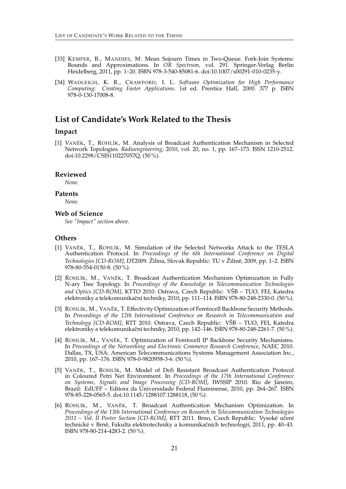- [33] KEMPER, B., MANDJES, M. Mean Sojourn Times in Two-Queue. Fork-Join Systems: Bounds and Approximations. In *OR Spectrum*, vol. 291. Springer-Verlag Berlin Heidelberg, 2011, pp. 1–20. ISBN 978-3-540-85081-6. doi:10.1007/s00291-010-0235-y.
- [34] WADLEIGH, K. R., CRAWFORD, I. L. *Software Optimization for High Performance Computing: Creating Faster Applications*. 1st ed. Prentice Hall, 2000. 377 p. ISBN 978-0-130-17008-8.

# <span id="page-24-0"></span>**List of Candidate's Work Related to the Thesis**

#### **Impact**

[1] VANĚK, T., ROHLÍK, M. Analysis of Broadcast Authentication Mechanism in Selected Network Topologies. *Radioengineering*, 2010, vol. 20, no. 1, pp. 167–173. ISSN 1210-2512. doi:10.2298/CSIS110227057Q, (50 %).

#### **Reviewed**

*None.*

#### **Patents**

*None.*

#### **Web of Science**

*See "Impact" section above.*

#### **Others**

- [1] VANĚK, T., ROHLÍK, M. Simulation of the Selected Networks Attack to the TESLA Authentication Protocol. In *Proceedings of the 6th International Conference on Digital Technologies [CD-ROM]*, DT2009. Žilina, Slovak Republic: TU v Žilině, 2009, pp. 1–2. ISBN 978-80-554-0150-8. (50 %).
- [2] ROHLÍK, M., VANĚK, T. Broadcast Authentication Mechanism Optimization in Fully N-ary Tree Topology. In *Proceedings of the Knowledge in Telecommunication Technologies and Optics [CD-ROM]*, KTTO 2010. Ostrava, Czech Republic: VŠB – TUO, FEI, Katedra elektroniky a telekomunikační techniky, 2010, pp. 111–114. ISBN 978-80-248-2330-0. (50 %).
- [3] ROHLÍK, M., VANĚK, T. Effectivity Optimization of Femtocell Backbone Security Methods. In *Proceedings of the 12th International Conference on Research in Telecommunication and Technology [CD-ROM]*, RTT 2010. Ostrava, Czech Republic: VŠB – TUO, FEI, Katedra elektroniky a telekomunikační techniky, 2010, pp. 142–146. ISBN 978-80-248-2261-7. (50 %).
- [4] ROHLÍK, M., VANĚK, T. Optimization of Femtocell IP Backbone Security Mechanisms. In *Proceedings of the Networking and Electronic Commerce Research Conference*, NAEC 2010. Dallas, TX, USA: American Telecommunications Systems Management Association Inc., 2010, pp. 167–176. ISBN 978-0-9820958-3-6. (50 %).
- [5] VANĚK, T., ROHLÍK, M. Model of DoS Resistant Broadcast Authentication Protocol in Coloured Petri Net Environment. In *Proceedings of the 17th International Conference on Systems, Signals and Image Processing [CD-ROM]*, IWSSIP 2010. Rio de Janeiro, Brazil: EdUFF – Editora da Universidade Federal Fluminense, 2010, pp. 264–267. ISBN 978-85-228-0565-5. doi:10.1145/1288107.1288118, (50 %).
- [6] ROHLÍK, M., VANĚK, T. Broadcast Authentication Mechanism Optimization. In *Proceedings of the 13th International Conference on Research in Telecommunication Technologies 2011 – Vol. II Poster Section [CD-ROM]*, RTT 2011. Brno, Czech Republic: Vysoké uˇcení technické v Brně, Fakulta elektrotechniky a komunikačních technologií, 2011, pp. 40–43. ISBN 978-80-214-4283-2. (50 %).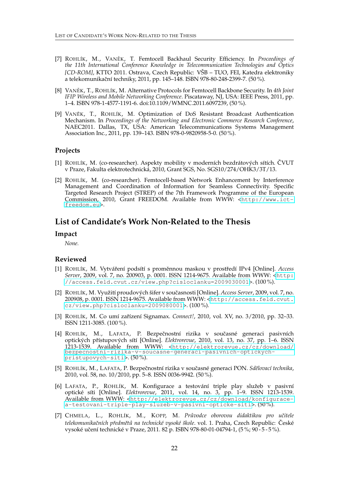- [7] ROHLÍK, M., VANĚK, T. Femtocell Backhaul Security Efficiency. In *Proceedings of the 11th International Conference Knowledge in Telecommunication Technologies and Optics [CD-ROM]*, KTTO 2011. Ostrava, Czech Republic: VŠB – TUO, FEI, Katedra elektroniky a telekomunikační techniky, 2011, pp. 145–148. ISBN 978-80-248-2399-7. (50%).
- [8] VANEKˇ , T., ROHLÍK, M. Alternative Protocols for Femtocell Backbone Security. In *4th Joint IFIP Wireless and Mobile Networking Conference*. Piscataway, NJ, USA: IEEE Press, 2011, pp. 1–4. ISBN 978-1-4577-1191-6. doi:10.1109/WMNC.2011.6097239, (50 %).
- [9] VANĚK, T., ROHLÍK, M. Optimization of DoS Resistant Broadcast Authentication Mechanism. In *Proceedings of the Networking and Electronic Commerce Research Conference*, NAEC2011. Dallas, TX, USA: American Telecommunications Systems Management Association Inc., 2011, pp. 139–143. ISBN 978-0-9820958-5-0. (50 %).

#### **Projects**

- [1] ROHLÍK, M. (co-researcher). Aspekty mobility v moderních bezdrátových sítích. ČVUT v Praze, Fakulta elektrotechnická, 2010, Grant SGS, No. SGS10/274/OHK3/3T/13.
- [2] ROHLÍK, M. (co-researcher). Femtocell-based Network Enhancement by Interference Management and Coordination of Information for Seamless Connectivity. Specific Targeted Research Project (STREP) of the 7th Framework Programme of the European Commission, 2010, Grant FREEDOM. Available from WWW: <[http://www.ict](http://www.ict-freedom.eu)[freedom.eu](http://www.ict-freedom.eu)>.

# <span id="page-25-0"></span>**List of Candidate's Work Non-Related to the Thesis**

#### **Impact**

*None.*

#### **Reviewed**

- [1] ROHLÍK, M. Vytváření podsítí s proměnnou maskou v prostředí IPv4 [Online]. Access *Server*, 2009, vol. 7, no. 200903, p. 0001. ISSN 1214-9675. Available from WWW: <[http:](http://access.feld.cvut.cz/view.php?cisloclanku=2009030001) [//access.feld.cvut.cz/view.php?cisloclanku=2009030001](http://access.feld.cvut.cz/view.php?cisloclanku=2009030001)>. (100 %).
- [2] ROHLÍK, M. Využití proudových šifer v souˇcasnosti [Online]. *Access Server*, 2009, vol. 7, no. 200908, p. 0001. ISSN 1214-9675. Available from WWW: <[http://access.feld.cvut.](http://access.feld.cvut.cz/view.php?cisloclanku=2009080001) [cz/view.php?cisloclanku=2009080001](http://access.feld.cvut.cz/view.php?cisloclanku=2009080001)>. (100 %).
- [3] ROHLÍK, M. Co umí zařízení Signamax. *Connect!*, 2010, vol. XV, no. 3/2010, pp. 32–33. ISSN 1211-3085. (100 %).
- [4] ROHLÍK, M., LAFATA, P. Bezpečnostní rizika v současné generaci pasivních optických pˇrístupových sítí [Online]. *Elektrorevue*, 2010, vol. 13, no. 37, pp. 1–6. ISSN 1213-1539. Available from WWW: <[http://elektrorevue.cz/cz/download/](http://elektrorevue.cz/cz/download/bezpecnostni-rizika-v-soucasne-generaci-pasivnich-optickych-pristupovych-siti) [bezpecnostni-rizika-v-soucasne-generaci-pasivnich-optickych](http://elektrorevue.cz/cz/download/bezpecnostni-rizika-v-soucasne-generaci-pasivnich-optickych-pristupovych-siti)[pristupovych-siti](http://elektrorevue.cz/cz/download/bezpecnostni-rizika-v-soucasne-generaci-pasivnich-optickych-pristupovych-siti)>. (50 %).
- [5] ROHLÍK, M., LAFATA, P. Bezpeˇcnostní rizika v souˇcasné generaci PON. *Sdˇelovací technika*, 2010, vol. 58, no. 10/2010, pp. 5–8. ISSN 0036-9942. (50 %).
- [6] LAFATA, P., ROHLÍK, M. Konfigurace a testování triple play služeb v pasivní optické síti [Online]. *Elektrorevue*, 2011, vol. 14, no. 3, pp. 1–9. ISSN 1213-1539. Available from WWW: <[http://elektrorevue.cz/cz/download/konfigurace](http://elektrorevue.cz/cz/download/konfigurace-a-testovani-triple-play-sluzeb-v-pasivni-opticke-siti)[a-testovani-triple-play-sluzeb-v-pasivni-opticke-siti](http://elektrorevue.cz/cz/download/konfigurace-a-testovani-triple-play-sluzeb-v-pasivni-opticke-siti)>. (50 %).
- [7] CHMELA, L., ROHLÍK, M., KOPP, M. *Pr ˚uvodce oborovou didaktikou pro uˇcitele telekomunikaˇcních pˇredmˇet ˚u na technické vysoké škole*. vol. 1. Praha, Czech Republic: Ceské ˇ vysoké učení technické v Praze, 2011. 82 p. ISBN 978-80-01-04794-1, (5 %; 90-5-5 %).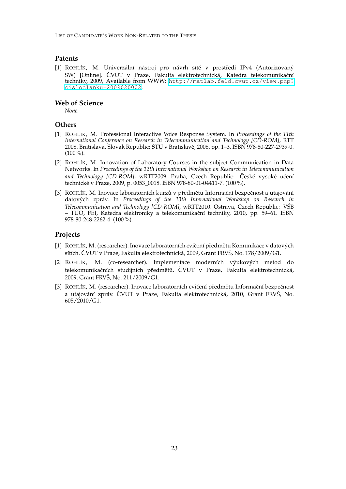#### **Patents**

[1] ROHLÍK, M. Univerzální nástroj pro návrh sítě v prostředí IPv4 (Autorizovaný SW) [Online]. ČVUT v Praze, Fakulta elektrotechnická, Katedra telekomunikační techniky, 2009, Available from WWW: [http://matlab.feld.cvut.cz/view.php?](http://matlab.feld.cvut.cz/view.php?cisloclanku=2009020002) [cisloclanku=2009020002](http://matlab.feld.cvut.cz/view.php?cisloclanku=2009020002).

#### **Web of Science**

*None.*

#### **Others**

- [1] ROHLÍK, M. Professional Interactive Voice Response System. In *Proceedings of the 11th International Conference on Research in Telecommunication and Technology [CD-ROM]*, RTT 2008. Bratislava, Slovak Republic: STU v Bratislavě, 2008, pp. 1-3. ISBN 978-80-227-2939-0.  $(100\%)$ .
- [2] ROHLÍK, M. Innovation of Laboratory Courses in the subject Communication in Data Networks. In *Proceedings of the 12th International Workshop on Research in Telecommunication* and Technology [CD-ROM], wRTT2009. Praha, Czech Republic: České vysoké učení technické v Praze, 2009, p. 0053\_0018. ISBN 978-80-01-04411-7. (100 %).
- [3] ROHLÍK, M. Inovace laboratorních kurzů v předmětu Informační bezpečnost a utajování datových zpráv. In *Proceedings of the 13th International Workshop on Research in Telecommunication and Technology [CD-ROM]*, wRTT2010. Ostrava, Czech Republic: VŠB – TUO, FEI, Katedra elektroniky a telekomunikaˇcní techniky, 2010, pp. 59–61. ISBN 978-80-248-2262-4. (100 %).

#### **Projects**

- [1] ROHLÍK, M. (researcher). Inovace laboratorních cvičení předmětu Komunikace v datových sítích. ČVUT v Praze, Fakulta elektrotechnická, 2009, Grant FRVŠ, No. 178/2009/G1.
- [2] ROHLÍK, M. (co-researcher). Implementace moderních výukových metod do telekomunikačních studijních předmětů. ČVUT v Praze, Fakulta elektrotechnická, 2009, Grant FRVŠ, No. 211/2009/G1.
- [3] ROHLÍK, M. (researcher). Inovace laboratorních cvičení předmětu Informační bezpečnost a utajování zpráv. ČVUT v Praze, Fakulta elektrotechnická, 2010, Grant FRVŠ, No. 605/2010/G1.